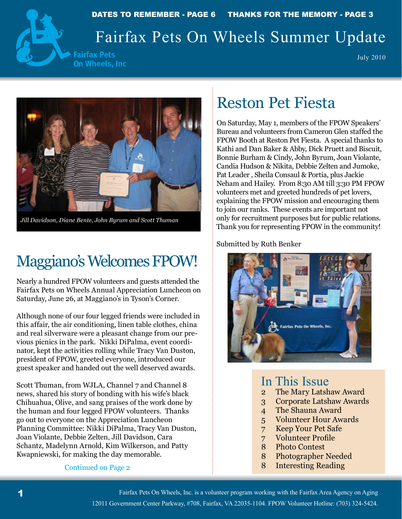

DATES TO REMEMBER - PAGE 6 THANKS FOR THE MEMORY - PAGE 3

# Fairfax Pets On Wheels Summer Update

**Fairfax Pets** On Wheels, Inc

July 2010



*Jill Davidson, Diane Bente, John Byrum and Scott Thuman*

# Maggiano's Welcomes FPOW!

Nearly a hundred FPOW volunteers and guests attended the Fairfax Pets on Wheels Annual Appreciation Luncheon on Saturday, June 26, at Maggiano's in Tyson's Corner.

Although none of our four legged friends were included in this affair, the air conditioning, linen table clothes, china and real silverware were a pleasant change from our previous picnics in the park. Nikki DiPalma, event coordinator, kept the activities rolling while Tracy Van Duston, president of FPOW, greeted everyone, introduced our guest speaker and handed out the well deserved awards.

Scott Thuman, from WJLA, Channel 7 and Channel 8 news, shared his story of bonding with his wife's black Chihuahua, Olive, and sang praises of the work done by the human and four legged FPOW volunteers. Thanks go out to everyone on the Appreciation Luncheon Planning Committee: Nikki DiPalma, Tracy Van Duston, Joan Violante, Debbie Zelten, Jill Davidson, Cara Schantz, Madelynn Arnold, Kim Wilkerson, and Patty Kwapniewski, for making the day memorable.

#### Continued on Page 2

# Reston Pet Fiesta

On Saturday, May 1, members of the FPOW Speakers' Bureau and volunteers from Cameron Glen staffed the FPOW Booth at Reston Pet Fiesta. A special thanks to Kathi and Dan Baker & Abby, Dick Pruett and Biscuit, Bonnie Burham & Cindy, John Byrum, Joan Violante, Candia Hudson & Nikita, Debbie Zelten and Jumoke, Pat Leader , Sheila Consaul & Portia, plus Jackie Neham and Hailey. From 8:30 AM till 3:30 PM FPOW volunteers met and greeted hundreds of pet lovers, explaining the FPOW mission and encouraging them to join our ranks. These events are important not only for recruitment purposes but for public relations. Thank you for representing FPOW in the community!

Submitted by Ruth Benker



#### In This Issue

- 2 The Mary Latshaw Award
- 3 Corporate Latshaw Awards
- 4 The Shauna Award
- 5 Volunteer Hour Awards
- 7 Keep Your Pet Safe
- 7 Volunteer Profile
- 8 Photo Contest
- 8 Photographer Needed
- 8 Interesting Reading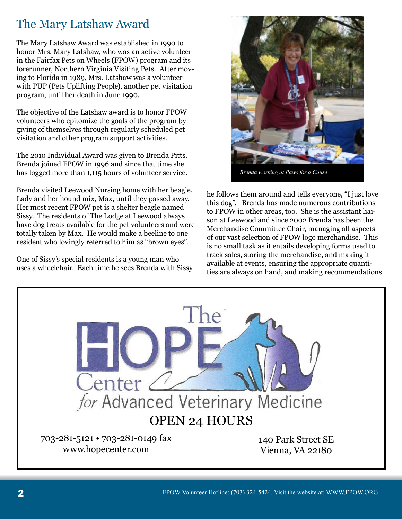### The Mary Latshaw Award

The Mary Latshaw Award was established in 1990 to honor Mrs. Mary Latshaw, who was an active volunteer in the Fairfax Pets on Wheels (FPOW) program and its forerunner, Northern Virginia Visiting Pets. After moving to Florida in 1989, Mrs. Latshaw was a volunteer with PUP (Pets Uplifting People), another pet visitation program, until her death in June 1990.

The objective of the Latshaw award is to honor FPOW volunteers who epitomize the goals of the program by giving of themselves through regularly scheduled pet visitation and other program support activities.

The 2010 Individual Award was given to Brenda Pitts. Brenda joined FPOW in 1996 and since that time she has logged more than 1,115 hours of volunteer service.

Brenda visited Leewood Nursing home with her beagle, Lady and her hound mix, Max, until they passed away. Her most recent FPOW pet is a shelter beagle named Sissy. The residents of The Lodge at Leewood always have dog treats available for the pet volunteers and were totally taken by Max. He would make a beeline to one resident who lovingly referred to him as "brown eyes".

One of Sissy's special residents is a young man who uses a wheelchair. Each time he sees Brenda with Sissy



*Brenda working at Paws for a Cause*

he follows them around and tells everyone, "I just love this dog". Brenda has made numerous contributions to FPOW in other areas, too. She is the assistant liaison at Leewood and since 2002 Brenda has been the Merchandise Committee Chair, managing all aspects of our vast selection of FPOW logo merchandise. This is no small task as it entails developing forms used to track sales, storing the merchandise, and making it available at events, ensuring the appropriate quantities are always on hand, and making recommendations

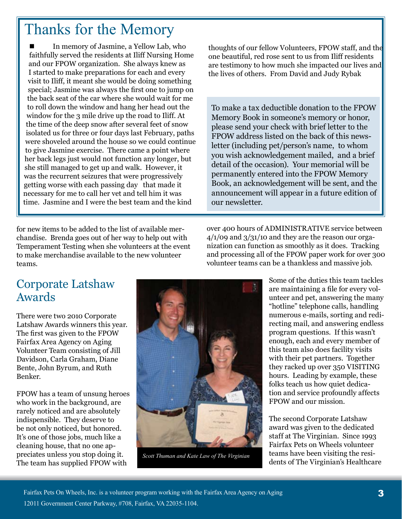# Thanks for the Memory

In memory of Jasmine, a Yellow Lab, who faithfully served the residents at Iliff Nursing Home and our FPOW organization. She always knew as I started to make preparations for each and every visit to Iliff, it meant she would be doing something special; Jasmine was always the first one to jump on the back seat of the car where she would wait for me to roll down the window and hang her head out the window for the 3 mile drive up the road to Iliff. At the time of the deep snow after several feet of snow isolated us for three or four days last February, paths were shoveled around the house so we could continue to give Jasmine exercise. There came a point where her back legs just would not function any longer, but she still managed to get up and walk. However, it was the recurrent seizures that were progressively getting worse with each passing day that made it necessary for me to call her vet and tell him it was time. Jasmine and I were the best team and the kind

for new items to be added to the list of available merchandise. Brenda goes out of her way to help out with Temperament Testing when she volunteers at the event to make merchandise available to the new volunteer teams.

 thoughts of our fellow Volunteers, FPOW staff, and the one beautiful, red rose sent to us from Iliff residents are testimony to how much she impacted our lives and the lives of others. From David and Judy Rybak

To make a tax deductible donation to the FPOW Memory Book in someone's memory or honor, please send your check with brief letter to the FPOW address listed on the back of this newsletter (including pet/person's name, to whom you wish acknowledgement mailed, and a brief detail of the occasion). Your memorial will be permanently entered into the FPOW Memory Book, an acknowledgement will be sent, and the announcement will appear in a future edition of our newsletter.

over 400 hours of ADMINISTRATIVE service between  $4/1/09$  and  $3/31/10$  and they are the reason our organization can function as smoothly as it does. Tracking and processing all of the FPOW paper work for over 300 volunteer teams can be a thankless and massive job.

> Some of the duties this team tackles are maintaining a file for every volunteer and pet, answering the many "hotline" telephone calls, handling numerous e-mails, sorting and redirecting mail, and answering endless program questions. If this wasn't enough, each and every member of this team also does facility visits with their pet partners. Together they racked up over 350 VISITING hours. Leading by example, these folks teach us how quiet dedication and service profoundly affects FPOW and our mission.

The second Corporate Latshaw award was given to the dedicated staff at The Virginian. Since 1993 Fairfax Pets on Wheels volunteer teams have been visiting the resi-Scott Thuman and Kate Law of The Virginian<br>dents of The Virginian's Healthcare

#### Corporate Latshaw Awards

There were two 2010 Corporate Latshaw Awards winners this year. The first was given to the FPOW Fairfax Area Agency on Aging Volunteer Team consisting of Jill Davidson, Carla Graham, Diane Bente, John Byrum, and Ruth Benker.

FPOW has a team of unsung heroes who work in the background, are rarely noticed and are absolutely indispensible. They deserve to be not only noticed, but honored. It's one of those jobs, much like a cleaning house, that no one appreciates unless you stop doing it. The team has supplied FPOW with

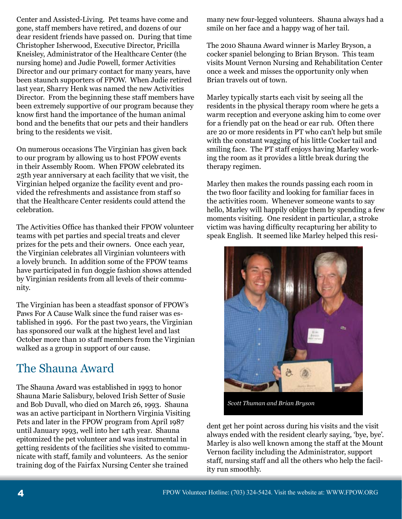Center and Assisted-Living. Pet teams have come and gone, staff members have retired, and dozens of our dear resident friends have passed on. During that time Christopher Isherwood, Executive Director, Pricilla Kneisley, Administrator of the Healthcare Center (the nursing home) and Judie Powell, former Activities Director and our primary contact for many years, have been staunch supporters of FPOW. When Judie retired last year, Sharry Henk was named the new Activities Director. From the beginning these staff members have been extremely supportive of our program because they know first hand the importance of the human animal bond and the benefits that our pets and their handlers bring to the residents we visit.

On numerous occasions The Virginian has given back to our program by allowing us to host FPOW events in their Assembly Room. When FPOW celebrated its 25th year anniversary at each facility that we visit, the Virginian helped organize the facility event and provided the refreshments and assistance from staff so that the Healthcare Center residents could attend the celebration.

The Activities Office has thanked their FPOW volunteer teams with pet parties and special treats and clever prizes for the pets and their owners. Once each year, the Virginian celebrates all Virginian volunteers with a lovely brunch. In addition some of the FPOW teams have participated in fun doggie fashion shows attended by Virginian residents from all levels of their community.

The Virginian has been a steadfast sponsor of FPOW's Paws For A Cause Walk since the fund raiser was established in 1996. For the past two years, the Virginian has sponsored our walk at the highest level and last October more than 10 staff members from the Virginian walked as a group in support of our cause.

#### The Shauna Award

The Shauna Award was established in 1993 to honor Shauna Marie Salisbury, beloved Irish Setter of Susie and Bob Duvall, who died on March 26, 1993. Shauna was an active participant in Northern Virginia Visiting Pets and later in the FPOW program from April 1987 until January 1993, well into her 14th year. Shauna epitomized the pet volunteer and was instrumental in getting residents of the facilities she visited to communicate with staff, family and volunteers. As the senior training dog of the Fairfax Nursing Center she trained

many new four-legged volunteers. Shauna always had a smile on her face and a happy wag of her tail.

The 2010 Shauna Award winner is Marley Bryson, a cocker spaniel belonging to Brian Bryson. This team visits Mount Vernon Nursing and Rehabilitation Center once a week and misses the opportunity only when Brian travels out of town.

Marley typically starts each visit by seeing all the residents in the physical therapy room where he gets a warm reception and everyone asking him to come over for a friendly pat on the head or ear rub. Often there are 20 or more residents in PT who can't help but smile with the constant wagging of his little Cocker tail and smiling face. The PT staff enjoys having Marley working the room as it provides a little break during the therapy regimen.

Marley then makes the rounds passing each room in the two floor facility and looking for familiar faces in the activities room. Whenever someone wants to say hello, Marley will happily oblige them by spending a few moments visiting. One resident in particular, a stroke victim was having difficulty recapturing her ability to speak English. It seemed like Marley helped this resi-



*Scott Thuman and Brian Bryson*

dent get her point across during his visits and the visit always ended with the resident clearly saying, 'bye, bye'. Marley is also well known among the staff at the Mount Vernon facility including the Administrator, support staff, nursing staff and all the others who help the facility run smoothly.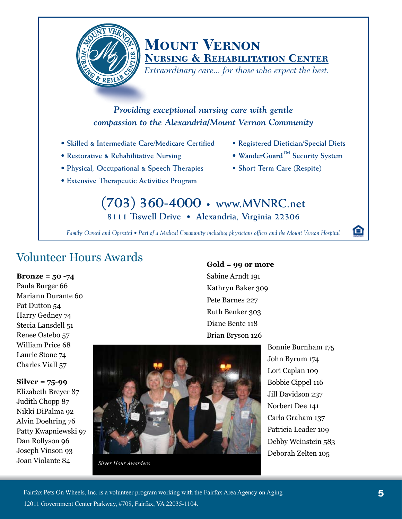

### **Mount Vernon Nursing & Rehabilitation Center**

*Extraordinary care... for those who expect the best.*

#### *Providing exceptional nursing care with gentle compassion to the Alexandria/Mount Vernon Community*

- **Skilled & Intermediate Care/Medicare Certified**
- **Restorative & Rehabilitative Nursing**
- **Physical, Occupational & Speech Therapies**
- **Extensive Therapeutic Activities Program**
- **Registered Dietician/Special Diets**
- **WanderGuard™ Security System**
- **Short Term Care (Respite)**

#### **(703) 360-4000 • www.MVNRC.net 8111 Tiswell Drive • Alexandria, Virginia 22306**

*Family Owned and Operated • Part of a Medical Community including physicians offices and the Mount Vernon Hospital*

### Volunteer Hours Awards

#### **Bronze = 50 -74**

Paula Burger 66 Mariann Durante 60 Pat Dutton 54 Harry Gedney 74 Stecia Lansdell 51 Renee Ostebo 57 William Price 68 Laurie Stone 74 Charles Viall 57

**Gold = 99 or more** Sabine Arndt 191 Kathryn Baker 309 Pete Barnes 227 Ruth Benker 303 Diane Bente 118

Brian Bryson 126

**Silver = 75-99** Elizabeth Breyer 87 Judith Chopp 87 Nikki DiPalma 92 Alvin Doehring 76

Patty Kwapniewski 97 Dan Rollyson 96 Joseph Vinson 93 Joan Violante 84



*Silver Hour Awardees*

Bonnie Burnham 175 John Byrum 174 Lori Caplan 109 Bobbie Cippel 116 Jill Davidson 237 Norbert Dee 141 Carla Graham 137 Patricia Leader 109 Debby Weinstein 583 Deborah Zelten 105

Θ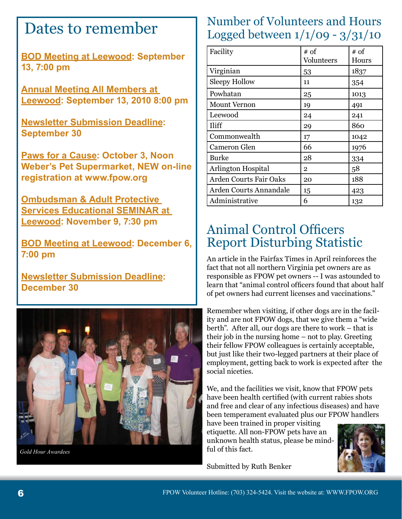# Dates to remember

**BOD Meeting at Leewood: September 13, 7:00 pm**

**Annual Meeting All Members at Leewood: September 13, 2010 8:00 pm** 

**Newsletter Submission Deadline: September 30**

**Paws for a Cause: October 3, Noon Weber's Pet Supermarket, NEW on-line registration at www.fpow.org** 

**Ombudsman & Adult Protective Services Educational SEMINAR at Leewood: November 9, 7:30 pm**

**BOD Meeting at Leewood: December 6, 7:00 pm**

**Newsletter Submission Deadline: December 30**



*Gold Hour Awardees*

#### Number of Volunteers and Hours Logged between 1/1/09 - 3/31/10

| Facility                      | # of<br>Volunteers | # of<br>Hours |
|-------------------------------|--------------------|---------------|
| Virginian                     | 53                 | 1837          |
| <b>Sleepy Hollow</b>          | 11                 | 354           |
| Powhatan                      | 25                 | 1013          |
| <b>Mount Vernon</b>           | 19                 | 491           |
| Leewood                       | 24                 | 241           |
| Iliff                         | 29                 | 860           |
| Commonwealth                  | 17                 | 1042          |
| <b>Cameron Glen</b>           | 66                 | 1976          |
| <b>Burke</b>                  | 28                 | 334           |
| <b>Arlington Hospital</b>     | $\overline{2}$     | 58            |
| <b>Arden Courts Fair Oaks</b> | 20                 | 188           |
| Arden Courts Annandale        | 15                 | 423           |
| Administrative                | 6                  | 132           |

## Animal Control Officers Report Disturbing Statistic

An article in the Fairfax Times in April reinforces the fact that not all northern Virginia pet owners are as responsible as FPOW pet owners -- I was astounded to learn that "animal control officers found that about half of pet owners had current licenses and vaccinations."

Remember when visiting, if other dogs are in the facility and are not FPOW dogs, that we give them a "wide berth". After all, our dogs are there to work – that is their job in the nursing home – not to play. Greeting their fellow FPOW colleagues is certainly acceptable, but just like their two-legged partners at their place of employment, getting back to work is expected after the social niceties.

We, and the facilities we visit, know that FPOW pets have been health certified (with current rabies shots and free and clear of any infectious diseases) and have been temperament evaluated plus our FPOW handlers

have been trained in proper visiting etiquette. All non-FPOW pets have an unknown health status, please be mindful of this fact.

Submitted by Ruth Benker

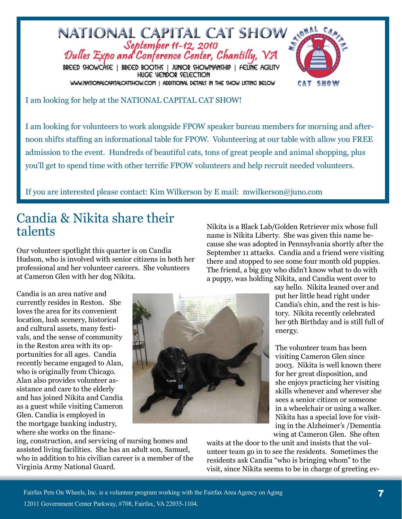

I am looking for help at the NATIONAL CAPITAL CAT SHOW!

I am looking for volunteers to work alongside FPOW speaker bureau members for morning and afternoon shifts staffing an informational table for FPOW. Volunteering at our table with allow you FREE admission to the event. Hundreds of beautiful cats, tons of great people and animal shopping, plus you'll get to spend time with other terrific FPOW volunteers and help recruit needed volunteers.

If you are interested please contact: Kim Wilkerson by E mail: mwilkerson@juno.com

### Candia & Nikita share their talents

Our volunteer spotlight this quarter is on Candia Hudson, who is involved with senior citizens in both her professional and her volunteer careers. She volunteers at Cameron Glen with her dog Nikita.

Candia is an area native and currently resides in Reston. She loves the area for its convenient location, lush scenery, historical and cultural assets, many festivals, and the sense of community in the Reston area with its opportunities for all ages. Candia recently became engaged to Alan, who is originally from Chicago. Alan also provides volunteer assistance and care to the elderly and has joined Nikita and Candia as a guest while visiting Cameron Glen. Candia is employed in the mortgage banking industry, where she works on the financ-



ing, construction, and servicing of nursing homes and assisted living facilities. She has an adult son, Samuel, who in addition to his civilian career is a member of the Virginia Army National Guard.

Nikita is a Black Lab/Golden Retriever mix whose full name is Nikita Liberty. She was given this name because she was adopted in Pennsylvania shortly after the September 11 attacks. Candia and a friend were visiting there and stopped to see some four month old puppies. The friend, a big guy who didn't know what to do with a puppy, was holding Nikita, and Candia went over to

say hello. Nikita leaned over and put her little head right under Candia's chin, and the rest is history. Nikita recently celebrated her 9th Birthday and is still full of energy.

The volunteer team has been visiting Cameron Glen since 2003. Nikita is well known there for her great disposition, and she enjoys practicing her visiting skills whenever and wherever she sees a senior citizen or someone in a wheelchair or using a walker. Nikita has a special love for visiting in the Alzheimer's /Dementia wing at Cameron Glen. She often

waits at the door to the unit and insists that the volunteer team go in to see the residents. Sometimes the residents ask Candia "who is bringing whom" to the visit, since Nikita seems to be in charge of greeting ev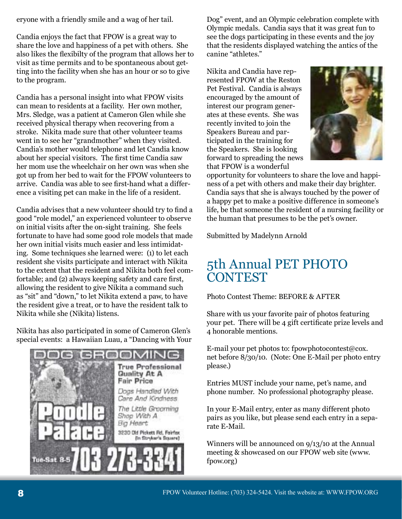eryone with a friendly smile and a wag of her tail.

Candia enjoys the fact that FPOW is a great way to share the love and happiness of a pet with others. She also likes the flexibilty of the program that allows her to visit as time permits and to be spontaneous about getting into the facility when she has an hour or so to give to the program.

Candia has a personal insight into what FPOW visits can mean to residents at a facility. Her own mother, Mrs. Sledge, was a patient at Cameron Glen while she received physical therapy when recovering from a stroke. Nikita made sure that other volunteer teams went in to see her "grandmother" when they visited. Candia's mother would telephone and let Candia know about her special visitors. The first time Candia saw her mom use the wheelchair on her own was when she got up from her bed to wait for the FPOW volunteers to arrive. Candia was able to see first-hand what a difference a visiting pet can make in the life of a resident.

Candia advises that a new volunteer should try to find a good "role model," an experienced volunteer to observe on initial visits after the on-sight training. She feels fortunate to have had some good role models that made her own initial visits much easier and less intimidating. Some techniques she learned were: (1) to let each resident she visits participate and interact with Nikita to the extent that the resident and Nikita both feel comfortable; and (2) always keeping safety and care first, allowing the resident to give Nikita a command such as "sit" and "down," to let Nikita extend a paw, to have the resident give a treat, or to have the resident talk to Nikita while she (Nikita) listens.

Nikita has also participated in some of Cameron Glen's special events: a Hawaiian Luau, a "Dancing with Your



Dog" event, and an Olympic celebration complete with Olympic medals. Candia says that it was great fun to see the dogs participating in these events and the joy that the residents displayed watching the antics of the canine "athletes."

Nikita and Candia have represented FPOW at the Reston Pet Festival. Candia is always encouraged by the amount of interest our program generates at these events. She was recently invited to join the Speakers Bureau and participated in the training for the Speakers. She is looking forward to spreading the news that FPOW is a wonderful



opportunity for volunteers to share the love and happiness of a pet with others and make their day brighter. Candia says that she is always touched by the power of a happy pet to make a positive difference in someone's life, be that someone the resident of a nursing facility or the human that presumes to be the pet's owner.

Submitted by Madelynn Arnold

### 5th Annual PET PHOTO **CONTEST**

Photo Contest Theme: BEFORE & AFTER

Share with us your favorite pair of photos featuring your pet. There will be 4 gift certificate prize levels and 4 honorable mentions.

E-mail your pet photos to: fpowphotocontest@cox. net before 8/30/10. (Note: One E-Mail per photo entry please.)

Entries MUST include your name, pet's name, and phone number. No professional photography please.

In your E-Mail entry, enter as many different photo pairs as you like, but please send each entry in a separate E-Mail.

Winners will be announced on 9/13/10 at the Annual meeting & showcased on our FPOW web site (www. fpow.org)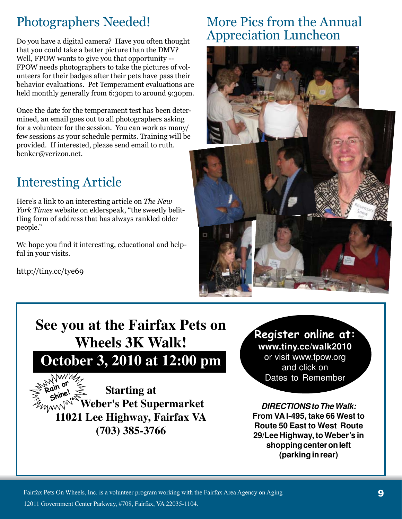# Photographers Needed!

Do you have a digital camera? Have you often thought that you could take a better picture than the DMV? Well, FPOW wants to give you that opportunity -- FPOW needs photographers to take the pictures of volunteers for their badges after their pets have pass their behavior evaluations. Pet Temperament evaluations are held monthly generally from 6:30pm to around 9:30pm.

Once the date for the temperament test has been determined, an email goes out to all photographers asking for a volunteer for the session. You can work as many/ few sessions as your schedule permits. Training will be provided. If interested, please send email to ruth. benker@verizon.net.

# Interesting Article

Here's a link to an interesting article on *The New York Times* website on elderspeak, "the sweetly belittling form of address that has always rankled older people."

We hope you find it interesting, educational and helpful in your visits.

http://tiny.cc/tye69

### More Pics from the Annual Appreciation Luncheon



# **See you at the Fairfax Pets on Wheels 3K Walk! October 3, 2010 at 12:00 pm**



**(703) 385-3766**

## Register online at:

**www.tiny.cc/walk2010** or visit www.fpow.org and click on Dates to Remember

**DIRECTIONS to The Walk: From VA I-495, take 66 West to Route 50 East to West Route 29/Lee Highway, to Weber's in shopping center on left (parking in rear)**

**Paws for a Cause 3K Walk Registration**